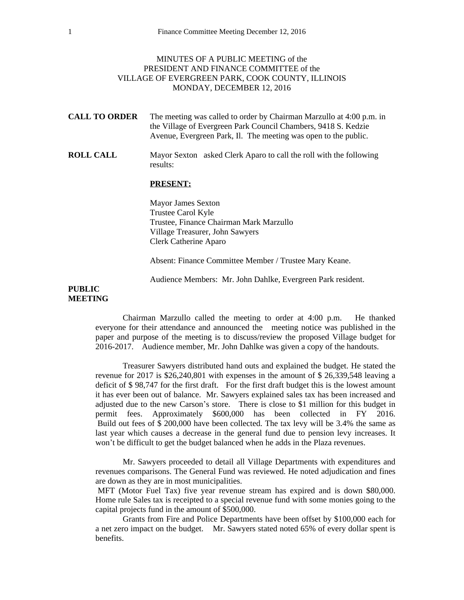## MINUTES OF A PUBLIC MEETING of the PRESIDENT AND FINANCE COMMITTEE of the VILLAGE OF EVERGREEN PARK, COOK COUNTY, ILLINOIS MONDAY, DECEMBER 12, 2016

- **CALL TO ORDER** The meeting was called to order by Chairman Marzullo at 4:00 p.m. in the Village of Evergreen Park Council Chambers, 9418 S. Kedzie Avenue, Evergreen Park, Il. The meeting was open to the public.
- **ROLL CALL** Mayor Sexton asked Clerk Aparo to call the roll with the following results:

## **PRESENT:**

Mayor James Sexton Trustee Carol Kyle Trustee, Finance Chairman Mark Marzullo Village Treasurer, John Sawyers Clerk Catherine Aparo

Absent: Finance Committee Member / Trustee Mary Keane.

Audience Members: Mr. John Dahlke, Evergreen Park resident.

## **PUBLIC MEETING**

Chairman Marzullo called the meeting to order at 4:00 p.m. He thanked everyone for their attendance and announced the meeting notice was published in the paper and purpose of the meeting is to discuss/review the proposed Village budget for 2016-2017. Audience member, Mr. John Dahlke was given a copy of the handouts.

Treasurer Sawyers distributed hand outs and explained the budget. He stated the revenue for 2017 is \$26,240,801 with expenses in the amount of \$ 26,339,548 leaving a deficit of \$ 98,747 for the first draft. For the first draft budget this is the lowest amount it has ever been out of balance. Mr. Sawyers explained sales tax has been increased and adjusted due to the new Carson's store. There is close to \$1 million for this budget in permit fees. Approximately \$600,000 has been collected in FY 2016. Build out fees of \$ 200,000 have been collected. The tax levy will be 3.4% the same as last year which causes a decrease in the general fund due to pension levy increases. It won't be difficult to get the budget balanced when he adds in the Plaza revenues.

Mr. Sawyers proceeded to detail all Village Departments with expenditures and revenues comparisons. The General Fund was reviewed. He noted adjudication and fines are down as they are in most municipalities.

MFT (Motor Fuel Tax) five year revenue stream has expired and is down \$80,000. Home rule Sales tax is receipted to a special revenue fund with some monies going to the capital projects fund in the amount of \$500,000.

Grants from Fire and Police Departments have been offset by \$100,000 each for a net zero impact on the budget. Mr. Sawyers stated noted 65% of every dollar spent is benefits.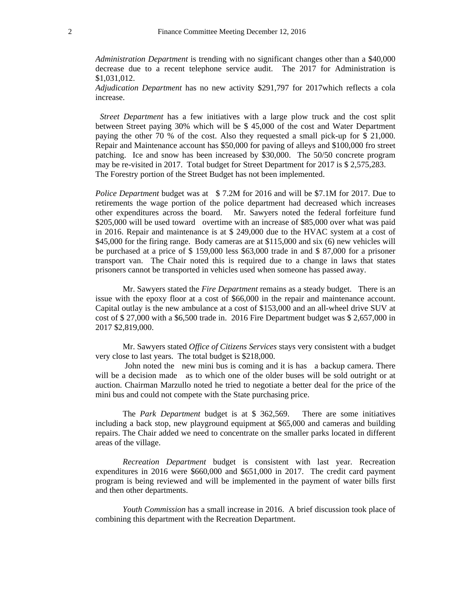*Administration Department* is trending with no significant changes other than a \$40,000 decrease due to a recent telephone service audit. The 2017 for Administration is \$1,031,012.

*Adjudication Department* has no new activity \$291,797 for 2017which reflects a cola increase.

*Street Department* has a few initiatives with a large plow truck and the cost split between Street paying 30% which will be \$ 45,000 of the cost and Water Department paying the other 70 % of the cost. Also they requested a small pick-up for \$ 21,000. Repair and Maintenance account has \$50,000 for paving of alleys and \$100,000 fro street patching. Ice and snow has been increased by \$30,000. The 50/50 concrete program may be re-visited in 2017. Total budget for Street Department for 2017 is \$ 2,575,283. The Forestry portion of the Street Budget has not been implemented.

*Police Department* budget was at \$ 7.2M for 2016 and will be \$7.1M for 2017. Due to retirements the wage portion of the police department had decreased which increases other expenditures across the board. Mr. Sawyers noted the federal forfeiture fund \$205,000 will be used toward overtime with an increase of \$85,000 over what was paid in 2016. Repair and maintenance is at \$ 249,000 due to the HVAC system at a cost of \$45,000 for the firing range. Body cameras are at \$115,000 and six (6) new vehicles will be purchased at a price of \$ 159,000 less \$63,000 trade in and \$ 87,000 for a prisoner transport van. The Chair noted this is required due to a change in laws that states prisoners cannot be transported in vehicles used when someone has passed away.

Mr. Sawyers stated the *Fire Department* remains as a steady budget. There is an issue with the epoxy floor at a cost of \$66,000 in the repair and maintenance account. Capital outlay is the new ambulance at a cost of \$153,000 and an all-wheel drive SUV at cost of \$ 27,000 with a \$6,500 trade in. 2016 Fire Department budget was \$ 2,657,000 in 2017 \$2,819,000.

Mr. Sawyers stated *Office of Citizens Services* stays very consistent with a budget very close to last years. The total budget is \$218,000.

John noted the new mini bus is coming and it is has a backup camera. There will be a decision made as to which one of the older buses will be sold outright or at auction. Chairman Marzullo noted he tried to negotiate a better deal for the price of the mini bus and could not compete with the State purchasing price.

The *Park Department* budget is at \$ 362,569. There are some initiatives including a back stop, new playground equipment at \$65,000 and cameras and building repairs. The Chair added we need to concentrate on the smaller parks located in different areas of the village.

*Recreation Department* budget is consistent with last year. Recreation expenditures in 2016 were \$660,000 and \$651,000 in 2017. The credit card payment program is being reviewed and will be implemented in the payment of water bills first and then other departments.

*Youth Commission* has a small increase in 2016. A brief discussion took place of combining this department with the Recreation Department.